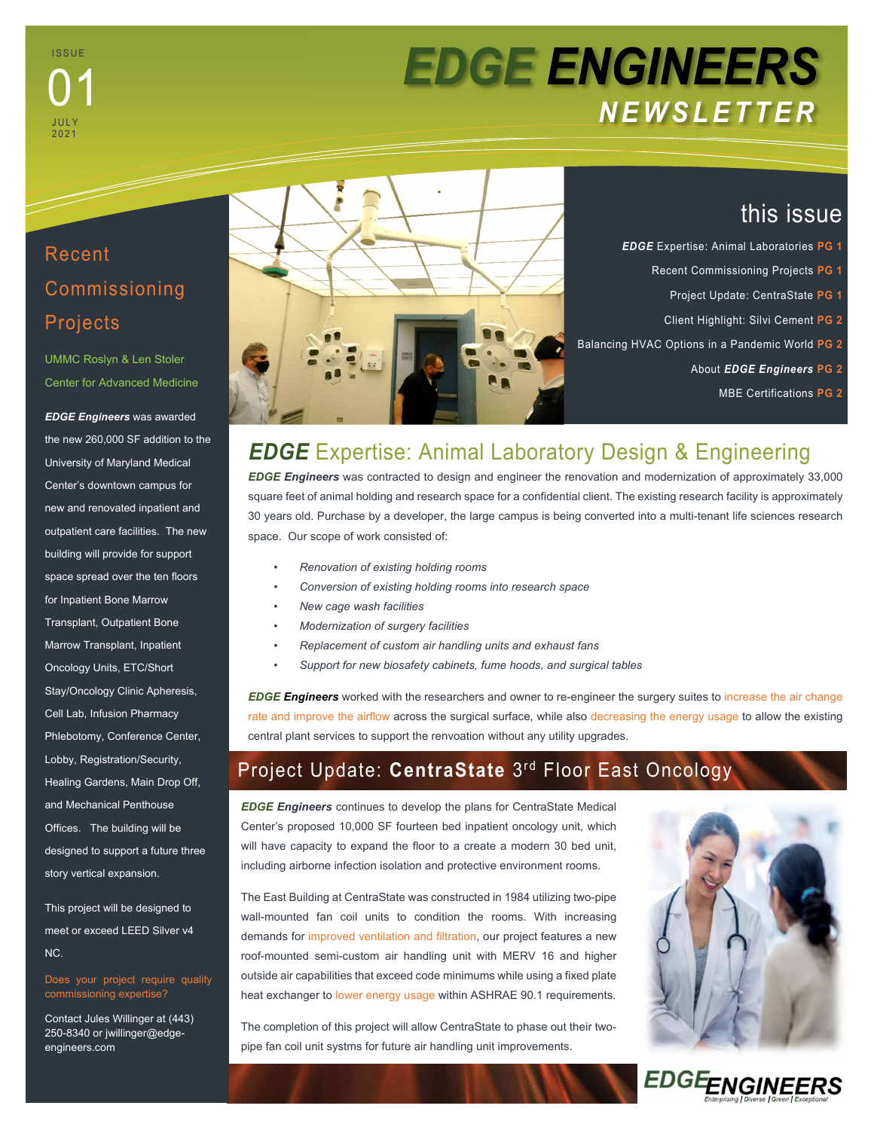**ISSUE** JULY 2021 01

# **EDGE ENGINEERS NEWSLETTER**

## Recent Commissioning Projects

UMMC Roslyn & Len Stoler Center for Advanced Medicine

#### *EDGE Engineers* was awarded

the new 260,000 SF addition to the University of Maryland Medical Center's downtown campus for new and renovated inpatient and outpatient care facilities. The new building will provide for support space spread over the ten floors for Inpatient Bone Marrow Transplant, Outpatient Bone Marrow Transplant, Inpatient Oncology Units, ETC/Short Stay/Oncology Clinic Apheresis, Cell Lab, Infusion Pharmacy Phlebotomy, Conference Center, Lobby, Registration/Security, Healing Gardens, Main Drop Off, and Mechanical Penthouse Offices. The building will be designed to support a future three story vertical expansion.

This project will be designed to meet or exceed LEED Silver v4 NC.

commissioning expertise?

Contact Jules Willinger at (443) 250-8340 or jwillinger@edgeengineers.com



## this issue

- *EDGE* Expertise: Animal Laboratories **PG 1**
	- Recent Commissioning Projects **PG 1**
		- Project Update: CentraState **PG 1**
		- Client Highlight: Silvi Cement **PG 2**
- Balancing HVAC Options in a Pandemic World **PG 2**
	- About *EDGE Engineers* **PG 2** 
		- MBE Certifications **PG 2**

## **EDGE** Expertise: Animal Laboratory Design & Engineering

*EDGE Engineers* was contracted to design and engineer the renovation and modernization of approximately 33,000 square feet of animal holding and research space for a confidential client. The existing research facility is approximately 30 years old. Purchase by a developer, the large campus is being converted into a multi-tenant life sciences research space. Our scope of work consisted of:

- *Renovation of existing holding rooms*
- *Conversion of existing holding rooms into research space*
- *New cage wash facilities*
- *Modernization of surgery facilities*
- *Replacement of custom air handling units and exhaust fans*
- *Support for new biosafety cabinets, fume hoods, and surgical tables*

*EDGE Engineers* worked with the researchers and owner to re-engineer the surgery suites to increase the air change rate and improve the airflow across the surgical surface, while also decreasing the energy usage to allow the existing central plant services to support the renvoation without any utility upgrades.

#### Project Update: **CentraState** 3rd Floor East Oncology

*EDGE Engineers* continues to develop the plans for CentraState Medical Center's proposed 10,000 SF fourteen bed inpatient oncology unit, which will have capacity to expand the floor to a create a modern 30 bed unit, including airborne infection isolation and protective environment rooms.

The East Building at CentraState was constructed in 1984 utilizing two-pipe wall-mounted fan coil units to condition the rooms. With increasing demands for improved ventilation and filtration, our project features a new roof-mounted semi-custom air handling unit with MERV 16 and higher outside air capabilities that exceed code minimums while using a fixed plate heat exchanger to lower energy usage within ASHRAE 90.1 requirements.

The completion of this project will allow CentraState to phase out their twopipe fan coil unit systms for future air handling unit improvements.